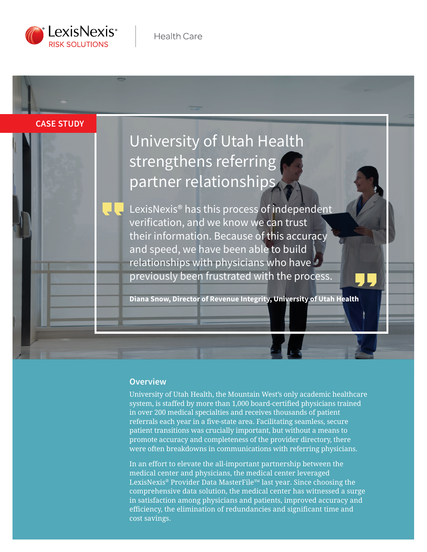

**Case study**

# University of Utah Health strengthens referring partner relationships

LexisNexis® has this process of independent verification, and we know we can trust their information. Because of this accuracy and speed, we have been able to build relationships with physicians who have previously been frustrated with the process.

**Diana Snow, Director of Revenue Integrity, University of Utah Health**

### **Overview**

University of Utah Health, the Mountain West's only academic healthcare system, is staffed by more than 1,000 board-certified physicians trained in over 200 medical specialties and receives thousands of patient referrals each year in a five-state area. Facilitating seamless, secure patient transitions was crucially important, but without a means to promote accuracy and completeness of the provider directory, there were often breakdowns in communications with referring physicians.

In an effort to elevate the all-important partnership between the medical center and physicians, the medical center leveraged LexisNexis® Provider Data MasterFile™ last year. Since choosing the comprehensive data solution, the medical center has witnessed a surge in satisfaction among physicians and patients, improved accuracy and efficiency, the elimination of redundancies and significant time and cost savings.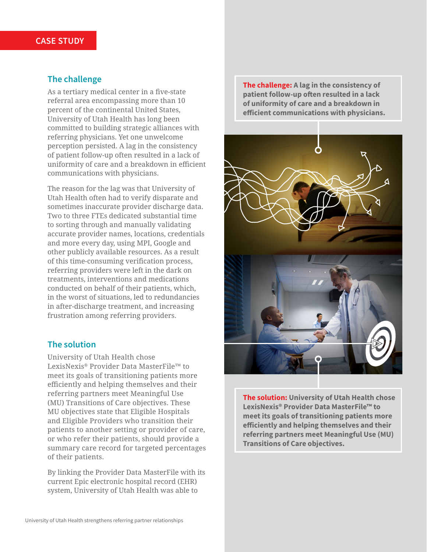### **The challenge**

As a tertiary medical center in a five-state referral area encompassing more than 10 percent of the continental United States, University of Utah Health has long been committed to building strategic alliances with referring physicians. Yet one unwelcome perception persisted. A lag in the consistency of patient follow-up often resulted in a lack of uniformity of care and a breakdown in efficient communications with physicians.

The reason for the lag was that University of Utah Health often had to verify disparate and sometimes inaccurate provider discharge data. Two to three FTEs dedicated substantial time to sorting through and manually validating accurate provider names, locations, credentials and more every day, using MPI, Google and other publicly available resources. As a result of this time-consuming verification process, referring providers were left in the dark on treatments, interventions and medications conducted on behalf of their patients, which, in the worst of situations, led to redundancies in after-discharge treatment, and increasing frustration among referring providers.

### **The solution**

University of Utah Health chose LexisNexis® Provider Data MasterFile™ to meet its goals of transitioning patients more efficiently and helping themselves and their referring partners meet Meaningful Use (MU) Transitions of Care objectives. These MU objectives state that Eligible Hospitals and Eligible Providers who transition their patients to another setting or provider of care, or who refer their patients, should provide a summary care record for targeted percentages of their patients.

By linking the Provider Data MasterFile with its current Epic electronic hospital record (EHR) system, University of Utah Health was able to

**The challenge: A lag in the consistency of patient follow-up often resulted in a lack of uniformity of care and a breakdown in efficient communications with physicians.**



**The solution: University of Utah Health chose LexisNexis® Provider Data MasterFile™ to meet its goals of transitioning patients more efficiently and helping themselves and their referring partners meet Meaningful Use (MU) Transitions of Care objectives.**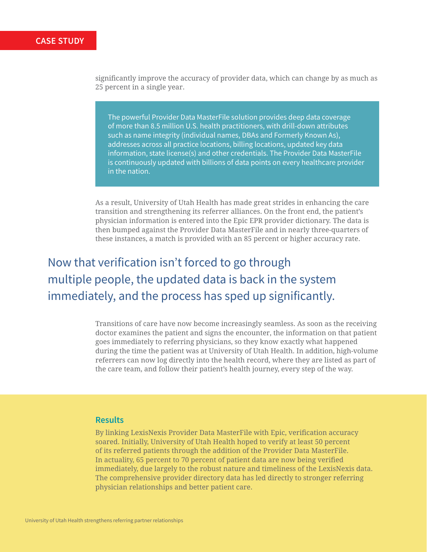significantly improve the accuracy of provider data, which can change by as much as 25 percent in a single year.

The powerful Provider Data MasterFile solution provides deep data coverage of more than 8.5 million U.S. health practitioners, with drill-down attributes such as name integrity (individual names, DBAs and Formerly Known As), addresses across all practice locations, billing locations, updated key data information, state license(s) and other credentials. The Provider Data MasterFile is continuously updated with billions of data points on every healthcare provider in the nation.

As a result, University of Utah Health has made great strides in enhancing the care transition and strengthening its referrer alliances. On the front end, the patient's physician information is entered into the Epic EPR provider dictionary. The data is then bumped against the Provider Data MasterFile and in nearly three-quarters of these instances, a match is provided with an 85 percent or higher accuracy rate.

## Now that verification isn't forced to go through multiple people, the updated data is back in the system immediately, and the process has sped up significantly.

Transitions of care have now become increasingly seamless. As soon as the receiving doctor examines the patient and signs the encounter, the information on that patient goes immediately to referring physicians, so they know exactly what happened during the time the patient was at University of Utah Health. In addition, high-volume referrers can now log directly into the health record, where they are listed as part of the care team, and follow their patient's health journey, every step of the way.

### **Results**

By linking LexisNexis Provider Data MasterFile with Epic, verification accuracy soared. Initially, University of Utah Health hoped to verify at least 50 percent of its referred patients through the addition of the Provider Data MasterFile. In actuality, 65 percent to 70 percent of patient data are now being verified immediately, due largely to the robust nature and timeliness of the LexisNexis data. The comprehensive provider directory data has led directly to stronger referring physician relationships and better patient care.